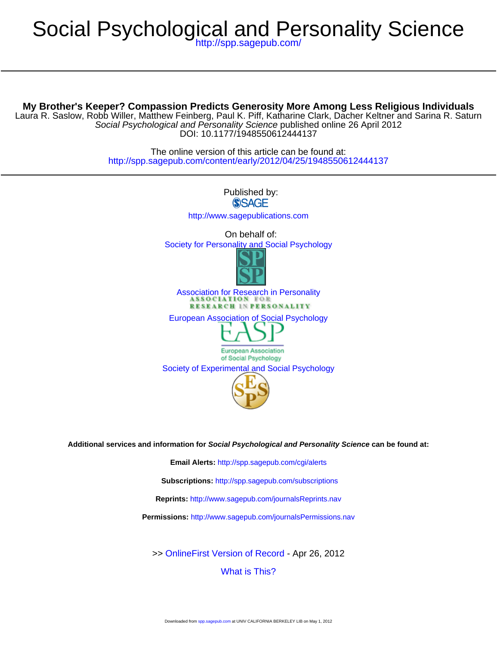# <http://spp.sagepub.com/> Social Psychological and Personality Science

**My Brother's Keeper? Compassion Predicts Generosity More Among Less Religious Individuals**

DOI: 10.1177/1948550612444137 Social Psychological and Personality Science published online 26 April 2012 Laura R. Saslow, Robb Willer, Matthew Feinberg, Paul K. Piff, Katharine Clark, Dacher Keltner and Sarina R. Saturn

> <http://spp.sagepub.com/content/early/2012/04/25/1948550612444137> The online version of this article can be found at:



**Additional services and information for Social Psychological and Personality Science can be found at:**

**Email Alerts:** <http://spp.sagepub.com/cgi/alerts>

**Subscriptions:** <http://spp.sagepub.com/subscriptions>

**Reprints:** <http://www.sagepub.com/journalsReprints.nav>

**Permissions:** <http://www.sagepub.com/journalsPermissions.nav>

>> [OnlineFirst Version of Record -](http://spp.sagepub.com/content/early/2012/04/25/1948550612444137.full.pdf) Apr 26, 2012

[What is This?](http://online.sagepub.com/site/sphelp/vorhelp.xhtml)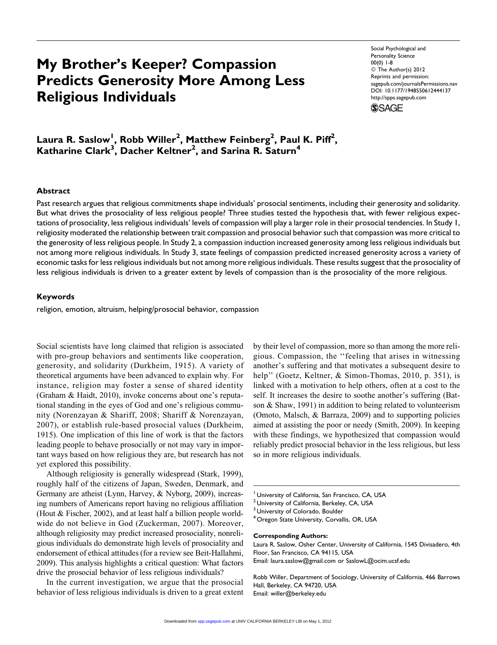# My Brother's Keeper? Compassion Predicts Generosity More Among Less Religious Individuals

Social Psychological and Personality Science 00(0) 1-8 © The Author(s) 2012 Reprints and permission: sagepub.com/journalsPermissions.nav DOI: 10.1177/1948550612444137 http://spps.sagepub.com

**SSAGE** 

Laura R. Saslow<sup>1</sup>, Robb Willer<sup>2</sup>, Matthew Feinberg<sup>2</sup>, Paul K. Piff<sup>2</sup>, Katharine Clark $^3$ , Dacher Keltner<sup>2</sup>, and Sarina R. Saturn $^4$ 

#### Abstract

Past research argues that religious commitments shape individuals' prosocial sentiments, including their generosity and solidarity. But what drives the prosociality of less religious people? Three studies tested the hypothesis that, with fewer religious expectations of prosociality, less religious individuals' levels of compassion will play a larger role in their prosocial tendencies. In Study 1, religiosity moderated the relationship between trait compassion and prosocial behavior such that compassion was more critical to the generosity of less religious people. In Study 2, a compassion induction increased generosity among less religious individuals but not among more religious individuals. In Study 3, state feelings of compassion predicted increased generosity across a variety of economic tasks for less religious individuals but not among more religious individuals. These results suggest that the prosociality of less religious individuals is driven to a greater extent by levels of compassion than is the prosociality of the more religious.

#### Keywords

religion, emotion, altruism, helping/prosocial behavior, compassion

Social scientists have long claimed that religion is associated with pro-group behaviors and sentiments like cooperation, generosity, and solidarity (Durkheim, 1915). A variety of theoretical arguments have been advanced to explain why. For instance, religion may foster a sense of shared identity (Graham & Haidt, 2010), invoke concerns about one's reputational standing in the eyes of God and one's religious community (Norenzayan & Shariff, 2008; Shariff & Norenzayan, 2007), or establish rule-based prosocial values (Durkheim, 1915). One implication of this line of work is that the factors leading people to behave prosocially or not may vary in important ways based on how religious they are, but research has not yet explored this possibility.

Although religiosity is generally widespread (Stark, 1999), roughly half of the citizens of Japan, Sweden, Denmark, and Germany are atheist (Lynn, Harvey, & Nyborg, 2009), increasing numbers of Americans report having no religious affiliation (Hout & Fischer, 2002), and at least half a billion people worldwide do not believe in God (Zuckerman, 2007). Moreover, although religiosity may predict increased prosociality, nonreligious individuals do demonstrate high levels of prosociality and endorsement of ethical attitudes (for a review see Beit-Hallahmi, 2009). This analysis highlights a critical question: What factors drive the prosocial behavior of less religious individuals?

In the current investigation, we argue that the prosocial behavior of less religious individuals is driven to a great extent by their level of compassion, more so than among the more religious. Compassion, the ''feeling that arises in witnessing another's suffering and that motivates a subsequent desire to help" (Goetz, Keltner, & Simon-Thomas, 2010, p. 351), is linked with a motivation to help others, often at a cost to the self. It increases the desire to soothe another's suffering (Batson & Shaw, 1991) in addition to being related to volunteerism (Omoto, Malsch, & Barraza, 2009) and to supporting policies aimed at assisting the poor or needy (Smith, 2009). In keeping with these findings, we hypothesized that compassion would reliably predict prosocial behavior in the less religious, but less so in more religious individuals.

Corresponding Authors:

Laura R. Saslow, Osher Center, University of California, 1545 Divisadero, 4th Floor, San Francisco, CA 94115, USA Email: laura.saslow@gmail.com or SaslowL@ocim.ucsf.edu

Robb Willer, Department of Sociology, University of California, 466 Barrows Hall, Berkeley, CA 94720, USA Email: willer@berkeley.edu

<sup>&</sup>lt;sup>1</sup> University of California, San Francisco, CA, USA

<sup>&</sup>lt;sup>2</sup> University of California, Berkeley, CA, USA

<sup>&</sup>lt;sup>3</sup> University of Colorado, Boulder

<sup>4</sup> Oregon State University, Corvallis, OR, USA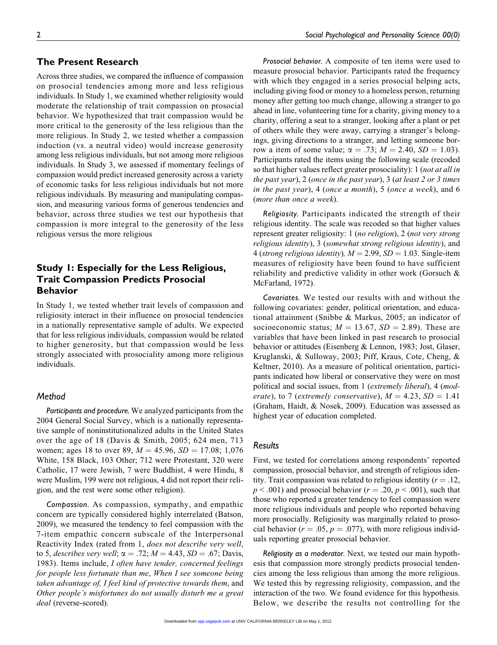## The Present Research

Across three studies, we compared the influence of compassion on prosocial tendencies among more and less religious individuals. In Study 1, we examined whether religiosity would moderate the relationship of trait compassion on prosocial behavior. We hypothesized that trait compassion would be more critical to the generosity of the less religious than the more religious. In Study 2, we tested whether a compassion induction (vs. a neutral video) would increase generosity among less religious individuals, but not among more religious individuals. In Study 3, we assessed if momentary feelings of compassion would predict increased generosity across a variety of economic tasks for less religious individuals but not more religious individuals. By measuring and manipulating compassion, and measuring various forms of generous tendencies and behavior, across three studies we test our hypothesis that compassion is more integral to the generosity of the less religious versus the more religious

## Study 1: Especially for the Less Religious, Trait Compassion Predicts Prosocial Behavior

In Study 1, we tested whether trait levels of compassion and religiosity interact in their influence on prosocial tendencies in a nationally representative sample of adults. We expected that for less religious individuals, compassion would be related to higher generosity, but that compassion would be less strongly associated with prosociality among more religious individuals.

#### Method

Participants and procedure. We analyzed participants from the 2004 General Social Survey, which is a nationally representative sample of noninstitutionalized adults in the United States over the age of 18 (Davis & Smith, 2005; 624 men, 713 women; ages 18 to over 89,  $M = 45.96$ ,  $SD = 17.08$ ; 1,076 White, 158 Black, 103 Other; 712 were Protestant, 320 were Catholic, 17 were Jewish, 7 were Buddhist, 4 were Hindu, 8 were Muslim, 199 were not religious, 4 did not report their religion, and the rest were some other religion).

Compassion. As compassion, sympathy, and empathic concern are typically considered highly interrelated (Batson, 2009), we measured the tendency to feel compassion with the 7-item empathic concern subscale of the Interpersonal Reactivity Index (rated from 1, does not describe very well, to 5, describes very well;  $\alpha = .72$ ;  $M = 4.43$ ,  $SD = .67$ ; Davis, 1983). Items include, I often have tender, concerned feelings for people less fortunate than me, When I see someone being taken advantage of, I feel kind of protective towards them, and Other people's misfortunes do not usually disturb me a great deal (reverse-scored).

Prosocial behavior. A composite of ten items were used to measure prosocial behavior. Participants rated the frequency with which they engaged in a series prosocial helping acts, including giving food or money to a homeless person, returning money after getting too much change, allowing a stranger to go ahead in line, volunteering time for a charity, giving money to a charity, offering a seat to a stranger, looking after a plant or pet of others while they were away, carrying a stranger's belongings, giving directions to a stranger, and letting someone borrow a item of some value;  $\alpha = .73$ ;  $M = 2.40$ ,  $SD = 1.03$ ). Participants rated the items using the following scale (recoded so that higher values reflect greater prosociality): 1 (not at all in the past year), 2 (once in the past year), 3 (at least 2 or 3 times in the past year), 4 (once a month), 5 (once a week), and 6 (more than once a week).

Religiosity. Participants indicated the strength of their religious identity. The scale was recoded so that higher values represent greater religiosity: 1 (no religion), 2 (not very strong religious identity), 3 (somewhat strong religious identity), and 4 (strong religious identity),  $M = 2.99$ ,  $SD = 1.03$ . Single-item measures of religiosity have been found to have sufficient reliability and predictive validity in other work (Gorsuch & McFarland, 1972).

Covariates. We tested our results with and without the following covariates: gender, political orientation, and educational attainment (Snibbe & Markus, 2005; an indicator of socioeconomic status;  $M = 13.67$ ,  $SD = 2.89$ ). These are variables that have been linked in past research to prosocial behavior or attitudes (Eisenberg & Lennon, 1983; Jost, Glaser, Kruglanski, & Sulloway, 2003; Piff, Kraus, Cote, Cheng, & Keltner, 2010). As a measure of political orientation, participants indicated how liberal or conservative they were on most political and social issues, from 1 (extremely liberal), 4 (moderate), to 7 (extremely conservative),  $M = 4.23$ ,  $SD = 1.41$ (Graham, Haidt, & Nosek, 2009). Education was assessed as highest year of education completed.

#### Results

First, we tested for correlations among respondents' reported compassion, prosocial behavior, and strength of religious identity. Trait compassion was related to religious identity ( $r = .12$ ,  $p < .001$ ) and prosocial behavior ( $r = .20$ ,  $p < .001$ ), such that those who reported a greater tendency to feel compassion were more religious individuals and people who reported behaving more prosocially. Religiosity was marginally related to prosocial behavior ( $r = .05$ ,  $p = .077$ ), with more religious individuals reporting greater prosocial behavior.

Religiosity as a moderator. Next, we tested our main hypothesis that compassion more strongly predicts prosocial tendencies among the less religious than among the more religious. We tested this by regressing religiosity, compassion, and the interaction of the two. We found evidence for this hypothesis. Below, we describe the results not controlling for the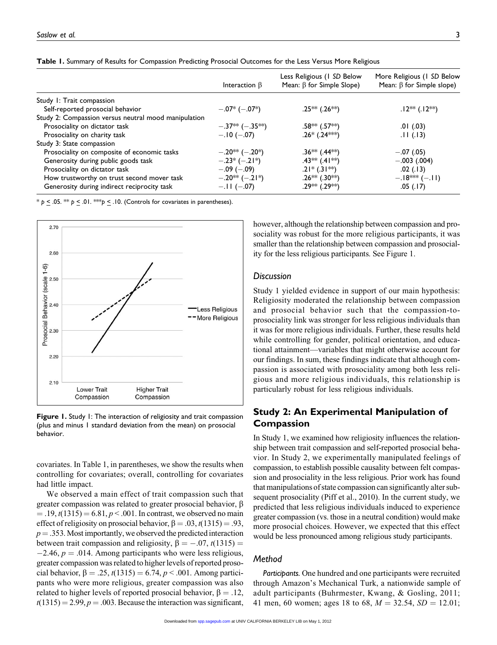|                                                      | Interaction $\beta$ | Less Religious (1 SD Below<br>Mean: $\beta$ for Simple Slope) | More Religious (1 SD Below<br>Mean: $\beta$ for Simple slope) |
|------------------------------------------------------|---------------------|---------------------------------------------------------------|---------------------------------------------------------------|
| Study 1: Trait compassion                            |                     |                                                               |                                                               |
| Self-reported prosocial behavior                     | $-.07*$ ( $-.07*$ ) | $.25**(.26**)$                                                | $.12** (.12**)$                                               |
| Study 2: Compassion versus neutral mood manipulation |                     |                                                               |                                                               |
| Prosociality on dictator task                        | $-.37**(-.35**)$    | $.58**(.57**)$                                                | .01(.03)                                                      |
| Prosociality on charity task                         | $-.10(-.07)$        | $.26*(.24***)$                                                | .11(.13)                                                      |
| Study 3: State compassion                            |                     |                                                               |                                                               |
| Prosociality on composite of economic tasks          | $-.20**(-.20*)$     | $.36***$ $(.44***)$                                           | $-.07(.05)$                                                   |
| Generosity during public goods task                  | $-.23*(-.21*)$      | $.43**$ $(.41**)$                                             | $-.003$ (.004)                                                |
| Prosociality on dictator task                        | $-.09(-.09)$        | $.21*(.31**)$                                                 | $.02$ (.13)                                                   |
| How trustworthy on trust second mover task           | $-.20**(-.21*)$     | $.26**(.30**)$                                                | $-.18***(-.11)$                                               |
| Generosity during indirect reciprocity task          | $-.11(-.07)$        | .29** (.29**)                                                 | .05(.17)                                                      |

Table 1. Summary of Results for Compassion Predicting Prosocial Outcomes for the Less Versus More Religious

\*  $p \leq .05$ . \*\*  $p \leq .01$ . \*\*\*  $p \leq .10$ . (Controls for covariates in parentheses).



Figure 1. Study 1: The interaction of religiosity and trait compassion (plus and minus 1 standard deviation from the mean) on prosocial behavior.

covariates. In Table 1, in parentheses, we show the results when controlling for covariates; overall, controlling for covariates had little impact.

We observed a main effect of trait compassion such that greater compassion was related to greater prosocial behavior,  $\beta$  $=$  .19,  $t(1315) = 6.81, p < .001$ . In contrast, we observed no main effect of religiosity on prosocial behavior,  $\beta = .03$ ,  $t(1315) = .93$ ,  $p = .353$ . Most importantly, we observed the predicted interaction between trait compassion and religiosity,  $\beta = -.07$ ,  $t(1315) =$  $-2.46$ ,  $p = .014$ . Among participants who were less religious, greater compassion was related to higher levels of reported prosocial behavior,  $\beta = .25$ ,  $t(1315) = 6.74$ ,  $p < .001$ . Among participants who were more religious, greater compassion was also related to higher levels of reported prosocial behavior,  $\beta = .12$ ,  $t(1315) = 2.99, p = .003$ . Because the interaction was significant,

however, although the relationship between compassion and prosociality was robust for the more religious participants, it was smaller than the relationship between compassion and prosociality for the less religious participants. See Figure 1.

#### **Discussion**

Study 1 yielded evidence in support of our main hypothesis: Religiosity moderated the relationship between compassion and prosocial behavior such that the compassion-toprosociality link was stronger for less religious individuals than it was for more religious individuals. Further, these results held while controlling for gender, political orientation, and educational attainment—variables that might otherwise account for our findings. In sum, these findings indicate that although compassion is associated with prosociality among both less religious and more religious individuals, this relationship is particularly robust for less religious individuals.

## Study 2: An Experimental Manipulation of Compassion

In Study 1, we examined how religiosity influences the relationship between trait compassion and self-reported prosocial behavior. In Study 2, we experimentally manipulated feelings of compassion, to establish possible causality between felt compassion and prosociality in the less religious. Prior work has found that manipulations of state compassion can significantly alter subsequent prosociality (Piff et al., 2010). In the current study, we predicted that less religious individuals induced to experience greater compassion (vs. those in a neutral condition) would make more prosocial choices. However, we expected that this effect would be less pronounced among religious study participants.

## Method

Participants. One hundred and one participants were recruited through Amazon's Mechanical Turk, a nationwide sample of adult participants (Buhrmester, Kwang, & Gosling, 2011; 41 men, 60 women; ages 18 to 68,  $M = 32.54$ ,  $SD = 12.01$ ;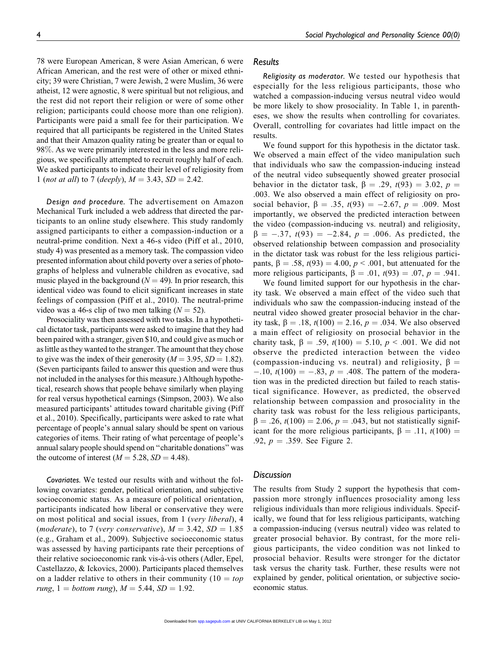78 were European American, 8 were Asian American, 6 were African American, and the rest were of other or mixed ethnicity; 39 were Christian, 7 were Jewish, 2 were Muslim, 36 were atheist, 12 were agnostic, 8 were spiritual but not religious, and the rest did not report their religion or were of some other religion; participants could choose more than one religion). Participants were paid a small fee for their participation. We required that all participants be registered in the United States and that their Amazon quality rating be greater than or equal to 98%. As we were primarily interested in the less and more religious, we specifically attempted to recruit roughly half of each. We asked participants to indicate their level of religiosity from 1 (not at all) to 7 (deeply),  $M = 3.43$ ,  $SD = 2.42$ .

Design and procedure. The advertisement on Amazon Mechanical Turk included a web address that directed the participants to an online study elsewhere. This study randomly assigned participants to either a compassion-induction or a neutral-prime condition. Next a 46-s video (Piff et al., 2010, study 4) was presented as a memory task. The compassion video presented information about child poverty over a series of photographs of helpless and vulnerable children as evocative, sad music played in the background ( $N = 49$ ). In prior research, this identical video was found to elicit significant increases in state feelings of compassion (Piff et al., 2010). The neutral-prime video was a 46-s clip of two men talking  $(N = 52)$ .

Prosociality was then assessed with two tasks. In a hypothetical dictator task, participants were asked to imagine that they had been paired with a stranger, given \$10, and could give as much or as little as they wanted to the stranger. The amount that they chose to give was the index of their generosity ( $M = 3.95$ ,  $SD = 1.82$ ). (Seven participants failed to answer this question and were thus not included in the analyses for this measure.) Although hypothetical, research shows that people behave similarly when playing for real versus hypothetical earnings (Simpson, 2003). We also measured participants' attitudes toward charitable giving (Piff et al., 2010). Specifically, participants were asked to rate what percentage of people's annual salary should be spent on various categories of items. Their rating of what percentage of people's annual salary people should spend on ''charitable donations'' was the outcome of interest ( $M = 5.28$ ,  $SD = 4.48$ ).

Covariates. We tested our results with and without the following covariates: gender, political orientation, and subjective socioeconomic status. As a measure of political orientation, participants indicated how liberal or conservative they were on most political and social issues, from 1 (very liberal), 4 (moderate), to 7 (very conservative),  $M = 3.42$ ,  $SD = 1.85$ (e.g., Graham et al., 2009). Subjective socioeconomic status was assessed by having participants rate their perceptions of their relative socioeconomic rank vis-a`-vis others (Adler, Epel, Castellazzo, & Ickovics, 2000). Participants placed themselves on a ladder relative to others in their community ( $10 = top$ ) rung,  $1 = bottom$  rung),  $M = 5.44$ ,  $SD = 1.92$ .

#### Results

Religiosity as moderator. We tested our hypothesis that especially for the less religious participants, those who watched a compassion-inducing versus neutral video would be more likely to show prosociality. In Table 1, in parentheses, we show the results when controlling for covariates. Overall, controlling for covariates had little impact on the results.

We found support for this hypothesis in the dictator task. We observed a main effect of the video manipulation such that individuals who saw the compassion-inducing instead of the neutral video subsequently showed greater prosocial behavior in the dictator task,  $\beta = .29$ ,  $t(93) = 3.02$ ,  $p =$ .003. We also observed a main effect of religiosity on prosocial behavior,  $\beta = .35$ ,  $t(93) = -2.67$ ,  $p = .009$ . Most importantly, we observed the predicted interaction between the video (compassion-inducing vs. neutral) and religiosity,  $\beta = -.37, t(93) = -2.84, p = .006$ . As predicted, the observed relationship between compassion and prosociality in the dictator task was robust for the less religious participants,  $\beta = .58$ ,  $t(93) = 4.00$ ,  $p < .001$ , but attenuated for the more religious participants,  $\beta = .01$ ,  $t(93) = .07$ ,  $p = .941$ .

We found limited support for our hypothesis in the charity task. We observed a main effect of the video such that individuals who saw the compassion-inducing instead of the neutral video showed greater prosocial behavior in the charity task,  $\beta = .18$ ,  $t(100) = 2.16$ ,  $p = .034$ . We also observed a main effect of religiosity on prosocial behavior in the charity task,  $\beta = .59$ ,  $t(100) = 5.10$ ,  $p < .001$ . We did not observe the predicted interaction between the video (compassion-inducing vs. neutral) and religiosity,  $\beta =$  $-.10$ ,  $t(100) = -.83$ ,  $p = .408$ . The pattern of the moderation was in the predicted direction but failed to reach statistical significance. However, as predicted, the observed relationship between compassion and prosociality in the charity task was robust for the less religious participants,  $\beta = .26$ ,  $t(100) = 2.06$ ,  $p = .043$ , but not statistically significant for the more religious participants,  $\beta = .11$ ,  $t(100) =$ .92,  $p = .359$ . See Figure 2.

## **Discussion**

The results from Study 2 support the hypothesis that compassion more strongly influences prosociality among less religious individuals than more religious individuals. Specifically, we found that for less religious participants, watching a compassion-inducing (versus neutral) video was related to greater prosocial behavior. By contrast, for the more religious participants, the video condition was not linked to prosocial behavior. Results were stronger for the dictator task versus the charity task. Further, these results were not explained by gender, political orientation, or subjective socioeconomic status.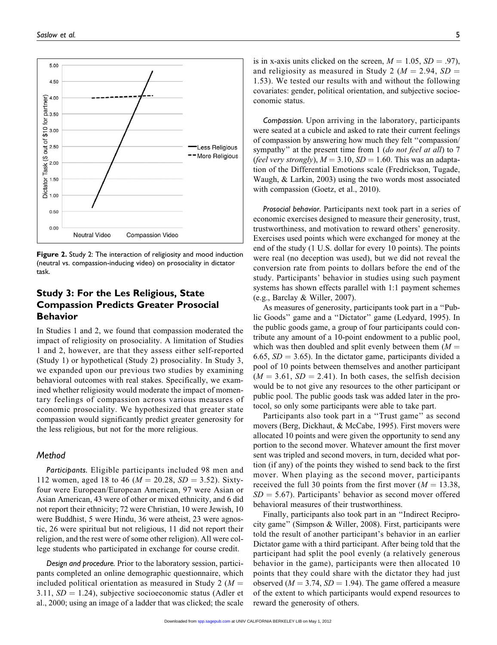

**Figure 2.** Study 2: The interaction of religiosity and mood induction (neutral vs. compassion-inducing video) on prosociality in dictator task.

# Study 3: For the Les Religious, State Compassion Predicts Greater Prosocial Behavior

In Studies 1 and 2, we found that compassion moderated the impact of religiosity on prosociality. A limitation of Studies 1 and 2, however, are that they assess either self-reported (Study 1) or hypothetical (Study 2) prosociality. In Study 3, we expanded upon our previous two studies by examining behavioral outcomes with real stakes. Specifically, we examined whether religiosity would moderate the impact of momentary feelings of compassion across various measures of economic prosociality. We hypothesized that greater state compassion would significantly predict greater generosity for the less religious, but not for the more religious.

## Method

Participants. Eligible participants included 98 men and 112 women, aged 18 to 46 ( $M = 20.28$ ,  $SD = 3.52$ ). Sixtyfour were European/European American, 97 were Asian or Asian American, 43 were of other or mixed ethnicity, and 6 did not report their ethnicity; 72 were Christian, 10 were Jewish, 10 were Buddhist, 5 were Hindu, 36 were atheist, 23 were agnostic, 26 were spiritual but not religious, 11 did not report their religion, and the rest were of some other religion). All were college students who participated in exchange for course credit.

Design and procedure. Prior to the laboratory session, participants completed an online demographic questionnaire, which included political orientation as measured in Study 2 ( $M =$ 3.11,  $SD = 1.24$ ), subjective socioeconomic status (Adler et al., 2000; using an image of a ladder that was clicked; the scale

is in x-axis units clicked on the screen,  $M = 1.05$ ,  $SD = .97$ ), and religiosity as measured in Study 2 ( $M = 2.94$ ,  $SD =$ 1.53). We tested our results with and without the following covariates: gender, political orientation, and subjective socioe-

Compassion. Upon arriving in the laboratory, participants were seated at a cubicle and asked to rate their current feelings of compassion by answering how much they felt ''compassion/ sympathy" at the present time from 1 *(do not feel at all)* to 7 (feel very strongly),  $M = 3.10$ ,  $SD = 1.60$ . This was an adaptation of the Differential Emotions scale (Fredrickson, Tugade, Waugh, & Larkin, 2003) using the two words most associated with compassion (Goetz, et al., 2010).

conomic status.

Prosocial behavior. Participants next took part in a series of economic exercises designed to measure their generosity, trust, trustworthiness, and motivation to reward others' generosity. Exercises used points which were exchanged for money at the end of the study (1 U.S. dollar for every 10 points). The points were real (no deception was used), but we did not reveal the conversion rate from points to dollars before the end of the study. Participants' behavior in studies using such payment systems has shown effects parallel with 1:1 payment schemes (e.g., Barclay & Willer, 2007).

As measures of generosity, participants took part in a ''Public Goods'' game and a ''Dictator'' game (Ledyard, 1995). In the public goods game, a group of four participants could contribute any amount of a 10-point endowment to a public pool, which was then doubled and split evenly between them  $(M =$ 6.65,  $SD = 3.65$ ). In the dictator game, participants divided a pool of 10 points between themselves and another participant  $(M = 3.61, SD = 2.41)$ . In both cases, the selfish decision would be to not give any resources to the other participant or public pool. The public goods task was added later in the protocol, so only some participants were able to take part.

Participants also took part in a ''Trust game'' as second movers (Berg, Dickhaut, & McCabe, 1995). First movers were allocated 10 points and were given the opportunity to send any portion to the second mover. Whatever amount the first mover sent was tripled and second movers, in turn, decided what portion (if any) of the points they wished to send back to the first mover. When playing as the second mover, participants received the full 30 points from the first mover ( $M = 13.38$ ,  $SD = 5.67$ ). Participants' behavior as second mover offered behavioral measures of their trustworthiness.

Finally, participants also took part in an ''Indirect Reciprocity game'' (Simpson & Willer, 2008). First, participants were told the result of another participant's behavior in an earlier Dictator game with a third participant. After being told that the participant had split the pool evenly (a relatively generous behavior in the game), participants were then allocated 10 points that they could share with the dictator they had just observed ( $M = 3.74$ ,  $SD = 1.94$ ). The game offered a measure of the extent to which participants would expend resources to reward the generosity of others.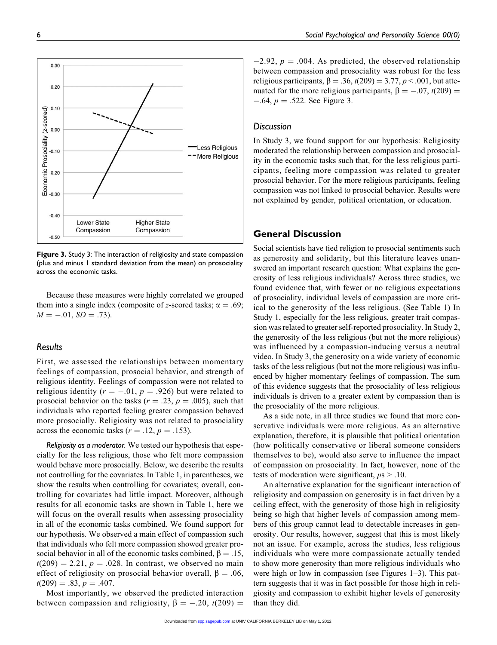**Figure 3.** Study 3: The interaction of religiosity and state compassion (plus and minus 1 standard deviation from the mean) on prosociality across the economic tasks.

Because these measures were highly correlated we grouped them into a single index (composite of z-scored tasks;  $\alpha = .69$ ;  $M = -.01, SD = .73$ ).

## **Results**

First, we assessed the relationships between momentary feelings of compassion, prosocial behavior, and strength of religious identity. Feelings of compassion were not related to religious identity ( $r = -.01$ ,  $p = .926$ ) but were related to prosocial behavior on the tasks ( $r = .23$ ,  $p = .005$ ), such that individuals who reported feeling greater compassion behaved more prosocially. Religiosity was not related to prosociality across the economic tasks ( $r = .12$ ,  $p = .153$ ).

Religiosity as a moderator. We tested our hypothesis that especially for the less religious, those who felt more compassion would behave more prosocially. Below, we describe the results not controlling for the covariates. In Table 1, in parentheses, we show the results when controlling for covariates; overall, controlling for covariates had little impact. Moreover, although results for all economic tasks are shown in Table 1, here we will focus on the overall results when assessing prosociality in all of the economic tasks combined. We found support for our hypothesis. We observed a main effect of compassion such that individuals who felt more compassion showed greater prosocial behavior in all of the economic tasks combined,  $\beta = .15$ ,  $t(209) = 2.21$ ,  $p = .028$ . In contrast, we observed no main effect of religiosity on prosocial behavior overall,  $\beta = .06$ ,  $t(209) = .83, p = .407.$ 

Most importantly, we observed the predicted interaction between compassion and religiosity,  $\beta = -.20, t(209) =$ 

 $-2.92, p = .004$ . As predicted, the observed relationship between compassion and prosociality was robust for the less religious participants,  $\beta = .36$ ,  $t(209) = 3.77$ ,  $p < .001$ , but attemuated for the more religious participants,  $\beta = -.07, t(209) =$  $-.64, p = .522$ . See Figure 3.

### Discussion

In Study 3, we found support for our hypothesis: Religiosity moderated the relationship between compassion and prosociality in the economic tasks such that, for the less religious participants, feeling more compassion was related to greater prosocial behavior. For the more religious participants, feeling compassion was not linked to prosocial behavior. Results were not explained by gender, political orientation, or education.

## General Discussion

Social scientists have tied religion to prosocial sentiments such as generosity and solidarity, but this literature leaves unanswered an important research question: What explains the generosity of less religious individuals? Across three studies, we found evidence that, with fewer or no religious expectations of prosociality, individual levels of compassion are more critical to the generosity of the less religious. (See Table 1) In Study 1, especially for the less religious, greater trait compassion was related to greater self-reported prosociality. In Study 2, the generosity of the less religious (but not the more religious) was influenced by a compassion-inducing versus a neutral video. In Study 3, the generosity on a wide variety of economic tasks of the less religious (but not the more religious) was influenced by higher momentary feelings of compassion. The sum of this evidence suggests that the prosociality of less religious individuals is driven to a greater extent by compassion than is the prosociality of the more religious.

As a side note, in all three studies we found that more conservative individuals were more religious. As an alternative explanation, therefore, it is plausible that political orientation (how politically conservative or liberal someone considers themselves to be), would also serve to influence the impact of compassion on prosociality. In fact, however, none of the tests of moderation were significant,  $ps > .10$ .

An alternative explanation for the significant interaction of religiosity and compassion on generosity is in fact driven by a ceiling effect, with the generosity of those high in religiosity being so high that higher levels of compassion among members of this group cannot lead to detectable increases in generosity. Our results, however, suggest that this is most likely not an issue. For example, across the studies, less religious individuals who were more compassionate actually tended to show more generosity than more religious individuals who were high or low in compassion (see Figures 1–3). This pattern suggests that it was in fact possible for those high in religiosity and compassion to exhibit higher levels of generosity than they did.

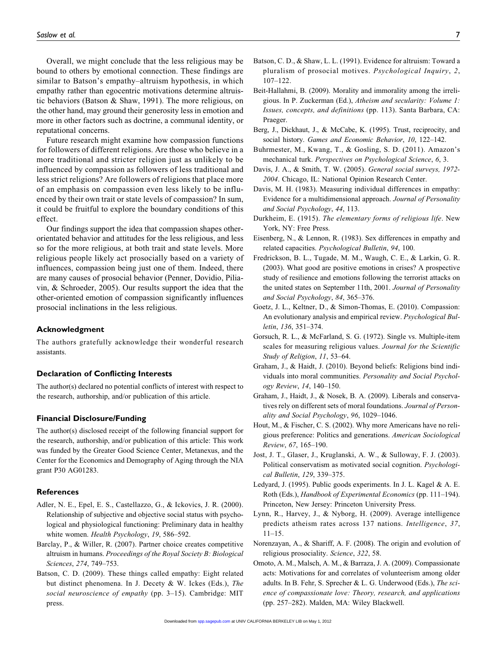Overall, we might conclude that the less religious may be bound to others by emotional connection. These findings are similar to Batson's empathy–altruism hypothesis, in which empathy rather than egocentric motivations determine altruistic behaviors (Batson & Shaw, 1991). The more religious, on the other hand, may ground their generosity less in emotion and more in other factors such as doctrine, a communal identity, or reputational concerns.

Future research might examine how compassion functions for followers of different religions. Are those who believe in a more traditional and stricter religion just as unlikely to be influenced by compassion as followers of less traditional and less strict religions? Are followers of religions that place more of an emphasis on compassion even less likely to be influenced by their own trait or state levels of compassion? In sum, it could be fruitful to explore the boundary conditions of this effect.

Our findings support the idea that compassion shapes otherorientated behavior and attitudes for the less religious, and less so for the more religious, at both trait and state levels. More religious people likely act prosocially based on a variety of influences, compassion being just one of them. Indeed, there are many causes of prosocial behavior (Penner, Dovidio, Piliavin, & Schroeder, 2005). Our results support the idea that the other-oriented emotion of compassion significantly influences prosocial inclinations in the less religious.

#### Acknowledgment

The authors gratefully acknowledge their wonderful research assistants.

#### Declaration of Conflicting Interests

The author(s) declared no potential conflicts of interest with respect to the research, authorship, and/or publication of this article.

#### Financial Disclosure/Funding

The author(s) disclosed receipt of the following financial support for the research, authorship, and/or publication of this article: This work was funded by the Greater Good Science Center, Metanexus, and the Center for the Economics and Demography of Aging through the NIA grant P30 AG01283.

## **References**

- Adler, N. E., Epel, E. S., Castellazzo, G., & Ickovics, J. R. (2000). Relationship of subjective and objective social status with psychological and physiological functioning: Preliminary data in healthy white women. Health Psychology, 19, 586–592.
- Barclay, P., & Willer, R. (2007). Partner choice creates competitive altruism in humans. Proceedings of the Royal Society B: Biological Sciences, 274, 749–753.
- Batson, C. D. (2009). These things called empathy: Eight related but distinct phenomena. In J. Decety & W. Ickes (Eds.), The social neuroscience of empathy (pp. 3-15). Cambridge: MIT press.
- Batson, C. D., & Shaw, L. L. (1991). Evidence for altruism: Toward a pluralism of prosocial motives. Psychological Inquiry, 2, 107–122.
- Beit-Hallahmi, B. (2009). Morality and immorality among the irreligious. In P. Zuckerman (Ed.), Atheism and secularity: Volume 1: Issues, concepts, and definitions (pp. 113). Santa Barbara, CA: Praeger.
- Berg, J., Dickhaut, J., & McCabe, K. (1995). Trust, reciprocity, and social history. Games and Economic Behavior, 10, 122–142.
- Buhrmester, M., Kwang, T., & Gosling, S. D. (2011). Amazon's mechanical turk. Perspectives on Psychological Science, 6, 3.
- Davis, J. A., & Smith, T. W. (2005). General social surveys, 1972- 2004. Chicago, IL: National Opinion Research Center.
- Davis, M. H. (1983). Measuring individual differences in empathy: Evidence for a multidimensional approach. Journal of Personality and Social Psychology, 44, 113.
- Durkheim, E. (1915). The elementary forms of religious life. New York, NY: Free Press.
- Eisenberg, N., & Lennon, R. (1983). Sex differences in empathy and related capacities. Psychological Bulletin, 94, 100.
- Fredrickson, B. L., Tugade, M. M., Waugh, C. E., & Larkin, G. R. (2003). What good are positive emotions in crises? A prospective study of resilience and emotions following the terrorist attacks on the united states on September 11th, 2001. Journal of Personality and Social Psychology, 84, 365–376.
- Goetz, J. L., Keltner, D., & Simon-Thomas, E. (2010). Compassion: An evolutionary analysis and empirical review. Psychological Bulletin, 136, 351–374.
- Gorsuch, R. L., & McFarland, S. G. (1972). Single vs. Multiple-item scales for measuring religious values. Journal for the Scientific Study of Religion, 11, 53–64.
- Graham, J., & Haidt, J. (2010). Beyond beliefs: Religions bind individuals into moral communities. Personality and Social Psychology Review, 14, 140–150.
- Graham, J., Haidt, J., & Nosek, B. A. (2009). Liberals and conservatives rely on different sets of moral foundations. Journal of Personality and Social Psychology, 96, 1029–1046.
- Hout, M., & Fischer, C. S. (2002). Why more Americans have no religious preference: Politics and generations. American Sociological Review, 67, 165–190.
- Jost, J. T., Glaser, J., Kruglanski, A. W., & Sulloway, F. J. (2003). Political conservatism as motivated social cognition. Psychological Bulletin, 129, 339–375.
- Ledyard, J. (1995). Public goods experiments. In J. L. Kagel & A. E. Roth (Eds.), Handbook of Experimental Economics (pp. 111–194). Princeton, New Jersey: Princeton University Press.
- Lynn, R., Harvey, J., & Nyborg, H. (2009). Average intelligence predicts atheism rates across 137 nations. Intelligence, 37, 11–15.
- Norenzayan, A., & Shariff, A. F. (2008). The origin and evolution of religious prosociality. Science, 322, 58.
- Omoto, A. M., Malsch, A. M., & Barraza, J. A. (2009). Compassionate acts: Motivations for and correlates of volunteerism among older adults. In B. Fehr, S. Sprecher & L. G. Underwood (Eds.), The science of compassionate love: Theory, research, and applications (pp. 257–282). Malden, MA: Wiley Blackwell.